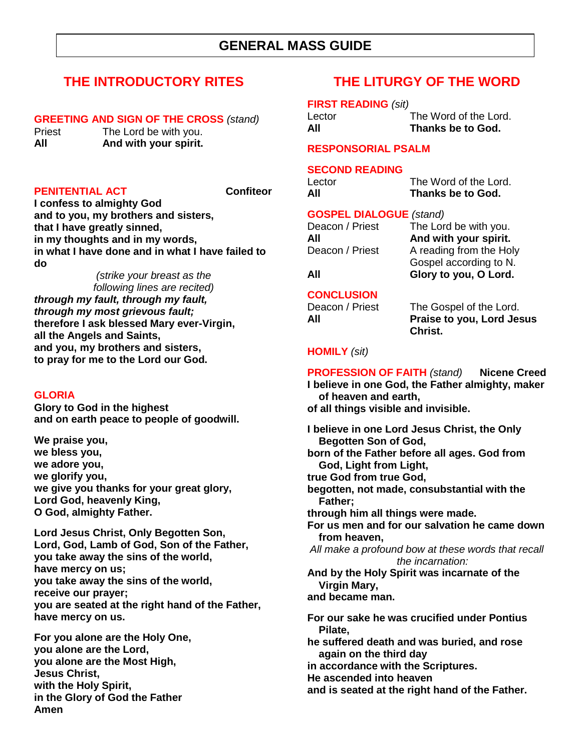## **THE INTRODUCTORY RITES**

#### **GREETING AND SIGN OF THE CROSS** *(stand)*

Priest The Lord be with you. **All And with your spirit.**

#### **PENITENTIAL ACT** Confiteor

**I confess to almighty God and to you, my brothers and sisters, that I have greatly sinned, in my thoughts and in my words, in what I have done and in what I have failed to do**

*(strike your breast as the following lines are recited) through my fault, through my fault, through my most grievous fault;* **therefore I ask blessed Mary ever-Virgin, all the Angels and Saints, and you, my brothers and sisters, to pray for me to the Lord our God.**

#### **GLORIA**

**Glory to God in the highest and on earth peace to people of goodwill.** 

**We praise you, we bless you, we adore you, we glorify you, we give you thanks for your great glory, Lord God, heavenly King, O God, almighty Father.**

**Lord Jesus Christ, Only Begotten Son, Lord, God, Lamb of God, Son of the Father, you take away the sins of the world, have mercy on us; you take away the sins of the world, receive our prayer; you are seated at the right hand of the Father, have mercy on us.**

**For you alone are the Holy One, you alone are the Lord, you alone are the Most High, Jesus Christ, with the Holy Spirit, in the Glory of God the Father Amen**

## **THE LITURGY OF THE WORD**

**FIRST READING** *(sit)*

Lector The Word of the Lord. **All Thanks be to God.**

#### **RESPONSORIAL PSALM**

## **SECOND READING**

| Lector | The Word of the Lord. |
|--------|-----------------------|
| All    | Thanks be to God.     |

### **GOSPEL DIALOGUE** *(stand)*

| Deacon / Priest | The Lord be with you.   |
|-----------------|-------------------------|
| All             | And with your spirit.   |
| Deacon / Priest | A reading from the Holy |
|                 | Gospel according to N.  |

**All Glory to you, O Lord.**

### **CONCLUSION**

Deacon / Priest The Gospel of the Lord. **All Praise to you, Lord Jesus Christ.**

## **HOMILY** *(sit)*

**PROFESSION OF FAITH** *(stand)* **Nicene Creed I believe in one God, the Father almighty, maker of heaven and earth, of all things visible and invisible. I believe in one Lord Jesus Christ, the Only Begotten Son of God, born of the Father before all ages. God from God, Light from Light, true God from true God, begotten, not made, consubstantial with the Father; through him all things were made. For us men and for our salvation he came down from heaven,** *All make a profound bow at these words that recall the incarnation:* **And by the Holy Spirit was incarnate of the Virgin Mary, and became man. For our sake he was crucified under Pontius Pilate, he suffered death and was buried, and rose again on the third day in accordance with the Scriptures. He ascended into heaven** 

**and is seated at the right hand of the Father.**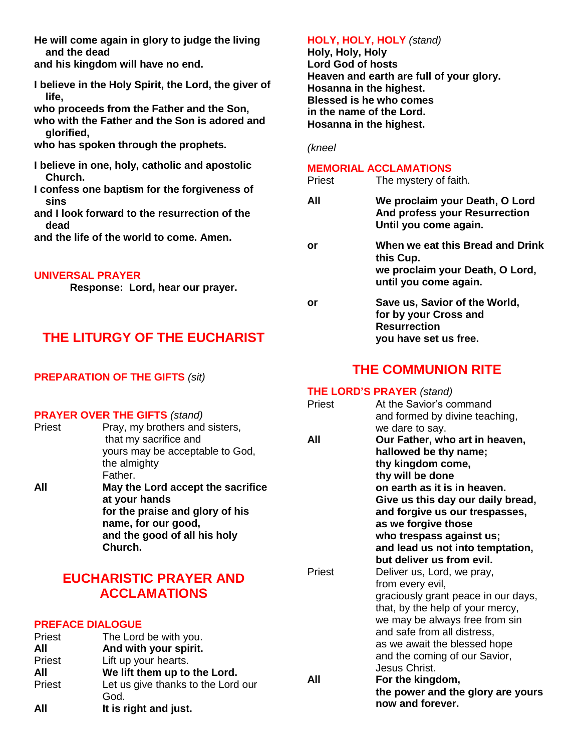**He will come again in glory to judge the living and the dead** 

**and his kingdom will have no end.**

**I believe in the Holy Spirit, the Lord, the giver of life,** 

**who proceeds from the Father and the Son,** 

**who with the Father and the Son is adored and glorified,** 

**who has spoken through the prophets.**

**I believe in one, holy, catholic and apostolic Church.** 

**I confess one baptism for the forgiveness of sins** 

**and I look forward to the resurrection of the dead** 

**and the life of the world to come. Amen.**

#### **UNIVERSAL PRAYER**

**Response: Lord, hear our prayer.**

## **THE LITURGY OF THE EUCHARIST**

## **PREPARATION OF THE GIFTS** *(sit)*

#### **PRAYER OVER THE GIFTS** *(stand)*

| Priest | Pray, my brothers and sisters,<br>that my sacrifice and |
|--------|---------------------------------------------------------|
|        | yours may be acceptable to God,<br>the almighty         |
|        | Father.                                                 |
| All    | May the Lord accept the sacrifice<br>at your hands      |
|        | for the praise and glory of his<br>name, for our good,  |
|        | and the good of all his holy<br>Church.                 |
|        |                                                         |

## **EUCHARISTIC PRAYER AND ACCLAMATIONS**

#### **PREFACE DIALOGUE**

| Priest<br>All | Let us give thanks to the Lord our<br>God.<br>It is right and just. |     | the power and the gl<br>now and forever. |
|---------------|---------------------------------------------------------------------|-----|------------------------------------------|
| All           | We lift them up to the Lord.                                        | All | Jesus Christ.<br>For the kingdom,        |
| Priest        | Lift up your hearts.                                                |     | and the coming of our                    |
| Priest<br>All | The Lord be with you.<br>And with your spirit.                      |     | as we await the blesse                   |
|               |                                                                     |     | and safe from all distre                 |

#### **HOLY, HOLY, HOLY** *(stand)*

**Holy, Holy, Holy Lord God of hosts Heaven and earth are full of your glory. Hosanna in the highest. Blessed is he who comes in the name of the Lord. Hosanna in the highest.**

*(kneel*

#### **MEMORIAL ACCLAMATIONS**

| Priest | The mystery of faith.                                                                                     |
|--------|-----------------------------------------------------------------------------------------------------------|
| All    | We proclaim your Death, O Lord<br>And profess your Resurrection<br>Until you come again.                  |
| or     | When we eat this Bread and Drink<br>this Cup.<br>we proclaim your Death, O Lord,<br>until you come again. |
| or     | Save us, Savior of the World,<br>for by your Cross and<br><b>Resurrection</b><br>you have set us free.    |

## **THE COMMUNION RITE**

## **THE LORD'S PRAYER** *(stand)*

| Priest | At the Savior's command             |
|--------|-------------------------------------|
|        | and formed by divine teaching,      |
|        | we dare to say.                     |
| All    | Our Father, who art in heaven,      |
|        | hallowed be thy name;               |
|        | thy kingdom come,                   |
|        | thy will be done                    |
|        | on earth as it is in heaven.        |
|        | Give us this day our daily bread,   |
|        | and forgive us our trespasses,      |
|        | as we forgive those                 |
|        | who trespass against us;            |
|        | and lead us not into temptation,    |
|        | but deliver us from evil.           |
| Priest | Deliver us, Lord, we pray,          |
|        | from every evil,                    |
|        | graciously grant peace in our days, |
|        | that, by the help of your mercy,    |
|        | we may be always free from sin      |
|        | and safe from all distress,         |
|        | as we await the blessed hope        |
|        | and the coming of our Savior,       |
|        | Jesus Christ.                       |
| All    | For the kingdom,                    |
|        | the power and the glory are yours   |
|        | now and forever                     |